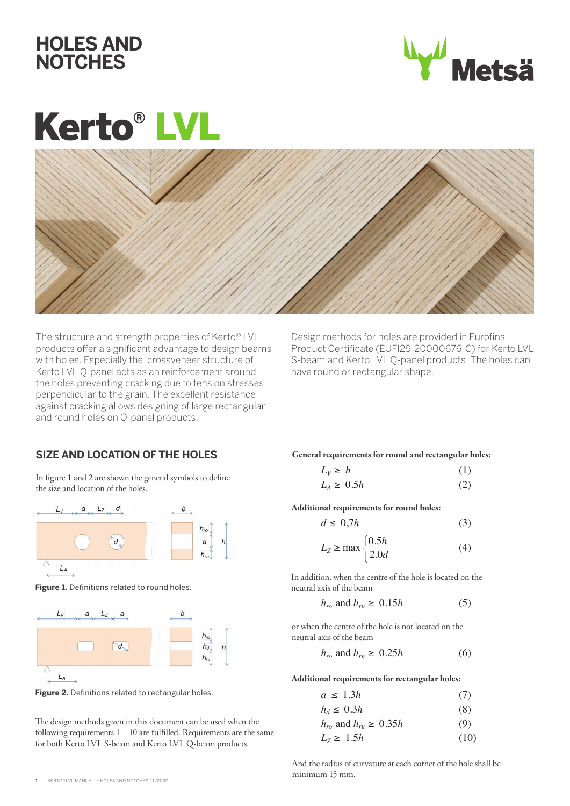



# **Kerto® LV**



The structure and strength properties of Kerto® LVL products offer a significant advantage to design beams with holes. Especially the crossveneer structure of Kerto LVL Q-panel acts as an reinforcement around the holes preventing cracking due to tension stresses perpendicular to the grain. The excellent resistance against cracking allows designing of large rectangular and round holes on Q-panel products.

Design methods for holes are provided in Eurofins Product Certificate (EUFI29-20000676-C) for Kerto LVL S-beam and Kerto LVL Q-panel products. The holes can have round or rectangular shape.

## **SIZE AND LOCATION OF THE HOLES**

In figure 1 and 2 are shown the general symbols to define the size and location of the holes.



**Figure 1.** Definitions related to round holes.



**Figure 2.** Definitions related to rectangular holes.

The design methods given in this document can be used when the following requirements 1 – 10 are fulfilled. Requirements are the same for both Kerto LVL S-beam and Kerto LVL Q-beam products.

**General requirements for round and rectangular holes:**

$$
L_V \ge h \tag{1}
$$
  

$$
L_A \ge 0.5h \tag{2}
$$

**Additional requirements for round holes:**

$$
d \le 0.7h \tag{3}
$$

$$
L_Z \ge \max \begin{cases} 0.5h \\ 2.0d \end{cases}
$$
 (4)

In addition, when the centre of the hole is located on the neutral axis of the beam

$$
h_{ro} \text{ and } h_{ru} \ge 0.15h \tag{5}
$$

or when the centre of the hole is not located on the neutral axis of the beam

$$
h_{ro} \text{ and } h_{ru} \ge 0.25h \tag{6}
$$

**Additional requirements for rectangular holes:**

$$
a \le 1.3h \tag{7}
$$

$$
h_d \le 0.3h\tag{8}
$$

$$
h_{ro} \text{ and } h_{ru} \ge 0.35h \tag{9}
$$

$$
L_Z \geq 1.5h \tag{10}
$$

And the radius of curvature at each corner of the hole shall be minimum 15 mm.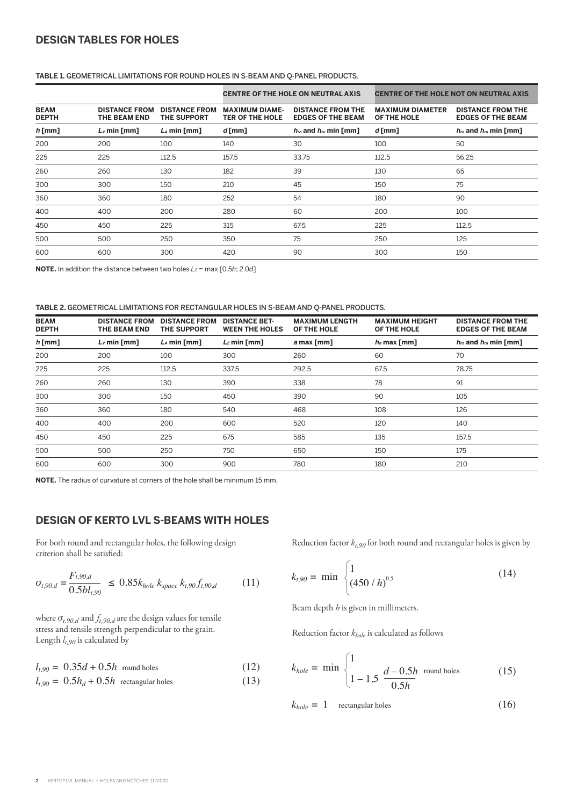# **DESIGN TABLES FOR HOLES**

### **TABLE 1.** GEOMETRICAL LIMITATIONS FOR ROUND HOLES IN S-BEAM AND Q-PANEL PRODUCTS.

|                             |                                             |                                            | <b>CENTRE OF THE HOLE ON NEUTRAL AXIS</b>       |                                                      | <b>CENTRE OF THE HOLE NOT ON NEUTRAL AXIS</b> |                                                      |  |
|-----------------------------|---------------------------------------------|--------------------------------------------|-------------------------------------------------|------------------------------------------------------|-----------------------------------------------|------------------------------------------------------|--|
| <b>BEAM</b><br><b>DEPTH</b> | <b>DISTANCE FROM</b><br><b>THE BEAM END</b> | <b>DISTANCE FROM</b><br><b>THE SUPPORT</b> | <b>MAXIMUM DIAME-</b><br><b>TER OF THE HOLE</b> | <b>DISTANCE FROM THE</b><br><b>EDGES OF THE BEAM</b> | <b>MAXIMUM DIAMETER</b><br>OF THE HOLE        | <b>DISTANCE FROM THE</b><br><b>EDGES OF THE BEAM</b> |  |
| $h$ [mm]                    | $Lv$ min [mm]                               | $L_A$ min [mm]                             | $d$ [mm]                                        | $h_{\text{ro}}$ and $h_{\text{ru}}$ min [mm]         | $d$ [mm]                                      | $h_{\text{ro}}$ and $h_{\text{ru}}$ min [mm]         |  |
| 200                         | 200                                         | 100                                        | 140                                             | 30                                                   | 100                                           | 50                                                   |  |
| 225                         | 225                                         | 112.5                                      | 157.5                                           | 33.75                                                | 112.5                                         | 56.25                                                |  |
| 260                         | 260                                         | 130                                        | 182                                             | 39                                                   | 130                                           | 65                                                   |  |
| 300                         | 300                                         | 150                                        | 210                                             | 45                                                   | 150                                           | 75                                                   |  |
| 360                         | 360                                         | 180                                        | 252                                             | 54                                                   | 180                                           | 90                                                   |  |
| 400                         | 400                                         | 200                                        | 280                                             | 60                                                   | 200                                           | 100                                                  |  |
| 450                         | 450                                         | 225                                        | 315                                             | 67.5                                                 | 225                                           | 112.5                                                |  |
| 500                         | 500                                         | 250                                        | 350                                             | 75                                                   | 250                                           | 125                                                  |  |
| 600                         | 600                                         | 300                                        | 420                                             | 90                                                   | 300                                           | 150                                                  |  |

**NOTE.** In addition the distance between two holes  $L_z$  = max [0.5*h*; 2.0*d*]

#### **TABLE 2.** GEOMETRICAL LIMITATIONS FOR RECTANGULAR HOLES IN S-BEAM AND Q-PANEL PRODUCTS.

| <b>DISTANCE FROM</b><br><b>THE BEAM END</b> | <b>DISTANCE FROM</b><br><b>THE SUPPORT</b> | <b>DISTANCE BET-</b><br><b>WEEN THE HOLES</b> | <b>MAXIMUM LENGTH</b><br>OF THE HOLE | <b>MAXIMUM HEIGHT</b><br>OF THE HOLE | <b>DISTANCE FROM THE</b><br><b>EDGES OF THE BEAM</b> |
|---------------------------------------------|--------------------------------------------|-----------------------------------------------|--------------------------------------|--------------------------------------|------------------------------------------------------|
| $L_V$ min [mm]                              | $L_A$ min [mm]                             | $L_z$ min [mm]                                | a max [mm]                           | $h_d$ max [mm]                       | $h_{\text{ro}}$ and $h_{\text{ru}}$ min [mm]         |
| 200                                         | 100                                        | 300                                           | 260                                  | 60                                   | 70                                                   |
| 225                                         | 112,5                                      | 337.5                                         | 292.5                                | 67.5                                 | 78.75                                                |
| 260                                         | 130                                        | 390                                           | 338                                  | 78                                   | 91                                                   |
| 300                                         | 150                                        | 450                                           | 390                                  | 90                                   | 105                                                  |
| 360                                         | 180                                        | 540                                           | 468                                  | 108                                  | 126                                                  |
| 400                                         | 200                                        | 600                                           | 520                                  | 120                                  | 140                                                  |
| 450                                         | 225                                        | 675                                           | 585                                  | 135                                  | 157.5                                                |
| 500                                         | 250                                        | 750                                           | 650                                  | 150                                  | 175                                                  |
| 600                                         | 300                                        | 900                                           | 780                                  | 180                                  | 210                                                  |
|                                             |                                            |                                               |                                      |                                      |                                                      |

**NOTE.** The radius of curvature at corners of the hole shall be minimum 15 mm.

## **DESIGN OF KERTO LVL S-BEAMS WITH HOLES**

For both round and rectangular holes, the following design criterion shall be satisfied:

$$
\sigma_{t,90,d} = \frac{F_{t,90,d}}{0.5bl_{t,90}} \le 0.85k_{hole} k_{space} k_{t,90} f_{t,90,d} \tag{11}
$$

where  $\sigma_{t,90,d}$  and  $f_{t,90,d}$  are the design values for tensile stress and tensile strength perpendicular to the grain. Length  $l_{t,90}$  is calculated by

$$
l_{t,90} = 0.35d + 0.5h \text{ round holes} \tag{12}
$$

$$
l_{t,90} = 0.5h_d + 0.5h
$$
 rectangular holes (13)

Reduction factor  $k_{t,90}$  for both round and rectangular holes is given by

$$
k_{t,90} = \min \begin{cases} 1 & (14) \\ (450/h)^{0.5} \end{cases}
$$

Beam depth *h* is given in millimeters.

Reduction factor *khole* is calculated as follows

$$
k_{hole} = \min \begin{cases} 1 & \text{if } l = 1, 5 \ \frac{d - 0.5h}{0.5h} & \text{round holes} \end{cases}
$$
 (15)

$$
k_{hole} = 1 \quad \text{rectangular holes} \tag{16}
$$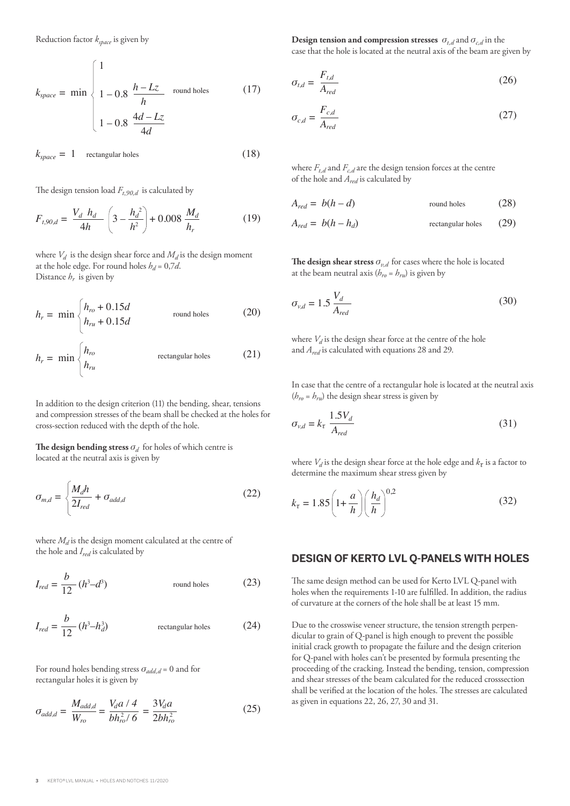Reduction factor *kspace* is given by

$$
k_{space} = \min \begin{cases} 1 \\ 1 - 0.8 \frac{h - Lz}{h} \quad \text{round holes} \\ 1 - 0.8 \frac{4d - Lz}{4d} \end{cases}
$$
(17)

$$
k_{space} = 1 \quad \text{rectangular holes} \tag{18}
$$

The design tension load  $F_{t,90,d}$  is calculated by

*hru*

$$
F_{t,90,d} = \frac{V_d h_d}{4h} \left(3 - \frac{h_d^2}{h^2}\right) + 0.008 \frac{M_d}{h_r}
$$
 (19)

where  $V_d$  is the design shear force and  $M_d$  is the design moment at the hole edge. For round holes  $h_d = 0.7d$ . Distance  $h_r$  is given by

$$
h_r = \min \begin{cases} h_{ro} + 0.15d & \text{round holes} \\ h_{ru} + 0.15d & \text{round holes} \end{cases}
$$
 (20)  

$$
h_r = \min \begin{cases} h_{ro} & \text{rectangular holes} \\ h & \text{total velocity} \end{cases}
$$
 (21)

In addition to the design criterion (11) the bending, shear, tensions and compression stresses of the beam shall be checked at the holes for cross-section reduced with the depth of the hole.

**The design bending stress**  $\sigma_d$  for holes of which centre is located at the neutral axis is given by

$$
\sigma_{m,d} = \begin{cases} \frac{M_d h}{2I_{red}} + \sigma_{add,d} & (22) \end{cases}
$$

where  $M_d$  is the design moment calculated at the centre of the hole and *Ired* is calculated by

$$
I_{red} = \frac{b}{12} (h^3 - d^3)
$$
 round holes (23)

$$
I_{red} = \frac{b}{12} (h^3 - h_d^3)
$$
 rectangular holes (24)

For round holes bending stress  $\sigma_{add,d} = 0$  and for rectangular holes it is given by

$$
\sigma_{add,d} = \frac{M_{add,d}}{W_{ro}} = \frac{V_d a / 4}{bh_{ro}^2 / 6} = \frac{3V_d a}{2bh_{ro}^2}
$$
 (25)

**Design tension and compression stresses**  $\sigma_{t,d}$  and  $\sigma_{c,d}$  in the case that the hole is located at the neutral axis of the beam are given by

$$
\sigma_{t,d} = \frac{F_{t,d}}{A_{red}} \tag{26}
$$

$$
\sigma_{c,d} = \frac{F_{c,d}}{A_{red}} \tag{27}
$$

where  $F_{t,d}$  and  $F_{c,d}$  are the design tension forces at the centre of the hole and *Ared* is calculated by

$$
A_{red} = b(h - d) \qquad \qquad \text{round holes} \tag{28}
$$

$$
A_{red} = b(h - h_d) \qquad \qquad \text{rectangular holes} \qquad (29)
$$

**The design shear stress**  $\sigma_{v,d}$  for cases where the hole is located at the beam neutral axis ( $h_{ro} = h_{ru}$ ) is given by

$$
\sigma_{v,d} = 1.5 \frac{V_d}{A_{red}} \tag{30}
$$

where  $V_d$  is the design shear force at the centre of the hole and *Ared* is calculated with equations 28 and 29.

In case that the centre of a rectangular hole is located at the neutral axis  $(h_{ro} = h_{ru})$  the design shear stress is given by

$$
\sigma_{v,d} = k_{\tau} \frac{1.5 V_d}{A_{\text{red}}} \tag{31}
$$

where  $V_d$  is the design shear force at the hole edge and  $k<sub>\tau</sub>$  is a factor to determine the maximum shear stress given by

$$
k_{\tau} = 1.85 \left( 1 + \frac{a}{h} \right) \left( \frac{h_d}{h} \right)^{0.2}
$$
 (32)

#### **DESIGN OF KERTO LVL Q-PANELS WITH HOLES**

The same design method can be used for Kerto LVL Q-panel with holes when the requirements 1-10 are fulfilled. In addition, the radius of curvature at the corners of the hole shall be at least 15 mm.

Due to the crosswise veneer structure, the tension strength perpendicular to grain of Q-panel is high enough to prevent the possible initial crack growth to propagate the failure and the design criterion for Q-panel with holes can't be presented by formula presenting the proceeding of the cracking. Instead the bending, tension, compression and shear stresses of the beam calculated for the reduced crosssection shall be verified at the location of the holes. The stresses are calculated as given in equations 22, 26, 27, 30 and 31.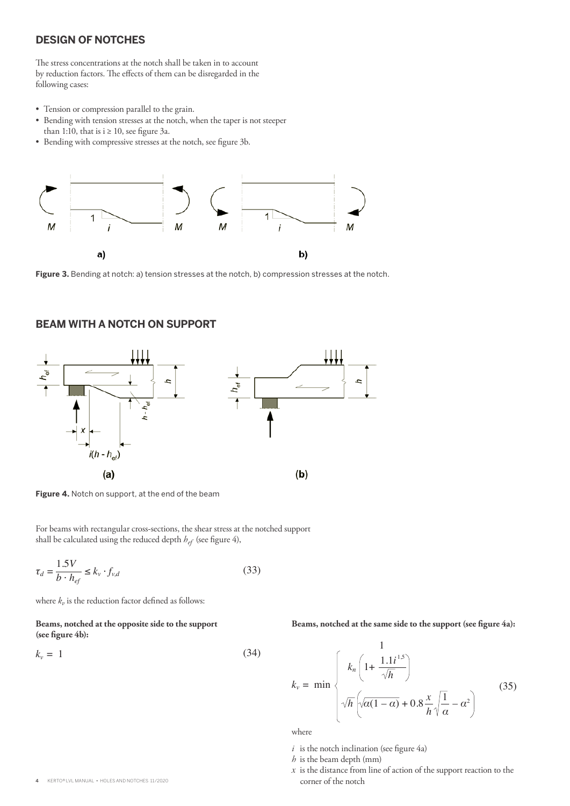## **DESIGN OF NOTCHES**

The stress concentrations at the notch shall be taken in to account by reduction factors. The effects of them can be disregarded in the following cases:

- Tension or compression parallel to the grain.
- Bending with tension stresses at the notch, when the taper is not steeper than 1:10, that is  $i \ge 10$ , see figure 3a.
- Bending with compressive stresses at the notch, see figure 3b.



**Figure 3.** Bending at notch: a) tension stresses at the notch, b) compression stresses at the notch.

#### **BEAM WITH A NOTCH ON SUPPORT**



**Figure 4.** Notch on support, at the end of the beam

For beams with rectangular cross-sections, the shear stress at the notched support shall be calculated using the reduced depth *hef* (see figure 4),

$$
\tau_d = \frac{1.5V}{b \cdot h_{ef}} \le k_v \cdot f_{v,d} \tag{33}
$$

where  $k_v$  is the reduction factor defined as follows:

#### **Beams, notched at the opposite side to the support (see figure 4b):**

$$
k_v = 1 \tag{34}
$$

**Beams, notched at the same side to the support (see figure 4a):**

$$
k_{\nu} = \min \begin{cases} k_n \left( 1 + \frac{1.1i^{1.5}}{\sqrt{h}} \right) \\ \sqrt{h} \left( \sqrt{\alpha(1-\alpha)} + 0.8\frac{x}{h} \sqrt{\frac{1}{\alpha}} - \alpha^2 \right) \end{cases}
$$
(35)

where

- $i$  is the notch inclination (see figure 4a)
- *h* is the beam depth (mm)
- *х* is the distance from line of action of the support reaction to the corner of the notch